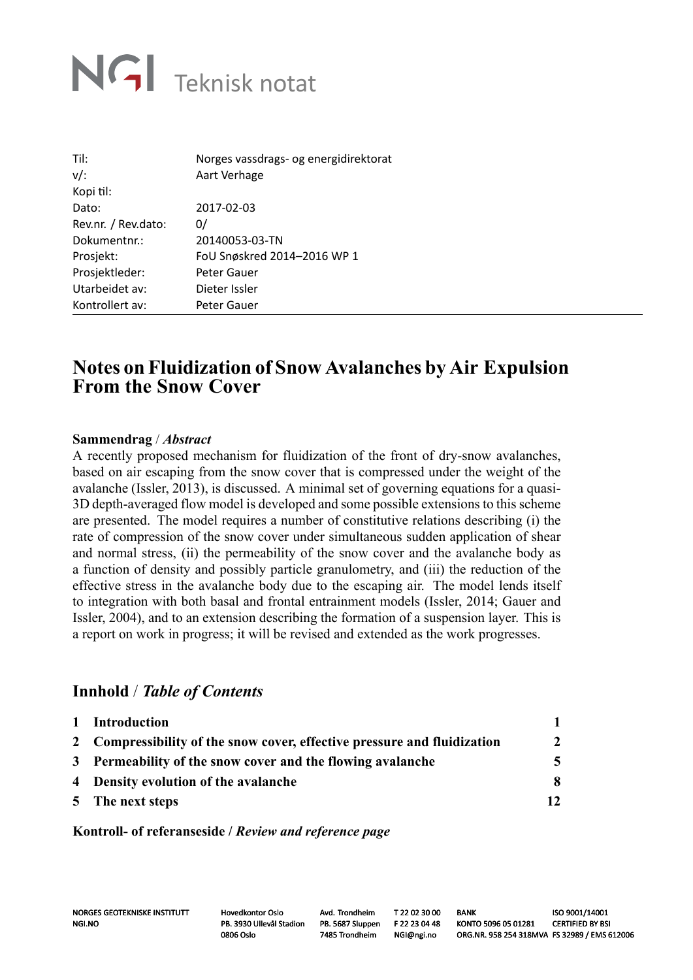# NGI Teknisk notat

| Til:                | Norges vassdrags- og energidirektorat |
|---------------------|---------------------------------------|
| $v/$ :              | Aart Verhage                          |
| Kopi til:           |                                       |
| Dato:               | 2017-02-03                            |
| Rev.nr. / Rev.dato: | 0/                                    |
| Dokumentnr.:        | 20140053-03-TN                        |
| Prosjekt:           | FoU Snøskred 2014-2016 WP 1           |
| Prosjektleder:      | Peter Gauer                           |
| Utarbeidet av:      | Dieter Issler                         |
| Kontrollert av:     | Peter Gauer                           |

## **Notes on Fluidization of Snow Avalanches by Air Expulsion From the Snow Cover**

### **Sammendrag** / *Abstract*

A recently proposed mechanism for fluidization of the front of dry-snow avalanches, based on air escaping from the snow cover that is compressed under the weight of the avalanche (Issler, 2013), is discussed. A minimal set of governing equations for a quasi-3D depth-averaged flow model is developed and some possible extensions to this scheme are presented. The model requires a number of constitutive relations describing (i) the rate of compression of the snow cover under simultaneous sudden application of shear and normal stress, (ii) the permeability of the snow cover and the avalanche body as a function of density and possibly particle granulometry, and (iii) the reduction of the effective stress in the avalanche body due to the escaping air. The model lends itself to integration with both basal and frontal entrainment models (Issler, 2014; Gauer and Issler, 2004), and to an extension describing the formation of a suspension layer. This is a report on work in progress; it will be revised and extended as the work progresses.

### **Innhold** / *Table of Contents*

| 1 Introduction                                                           |                |
|--------------------------------------------------------------------------|----------------|
| 2 Compressibility of the snow cover, effective pressure and fluidization | $\overline{2}$ |
| 3 Permeability of the snow cover and the flowing avalanche               | 5              |
| 4 Density evolution of the avalanche                                     | 8              |
| 5 The next steps                                                         | 12             |

**Kontroll- of referanseside /** *Review and reference page*

NORGES GEOTEKNISKE INSTITUTT Hovedkontor Oslo Avd. Trondheim T 22 02 30 00 BANK ISO 9001/14001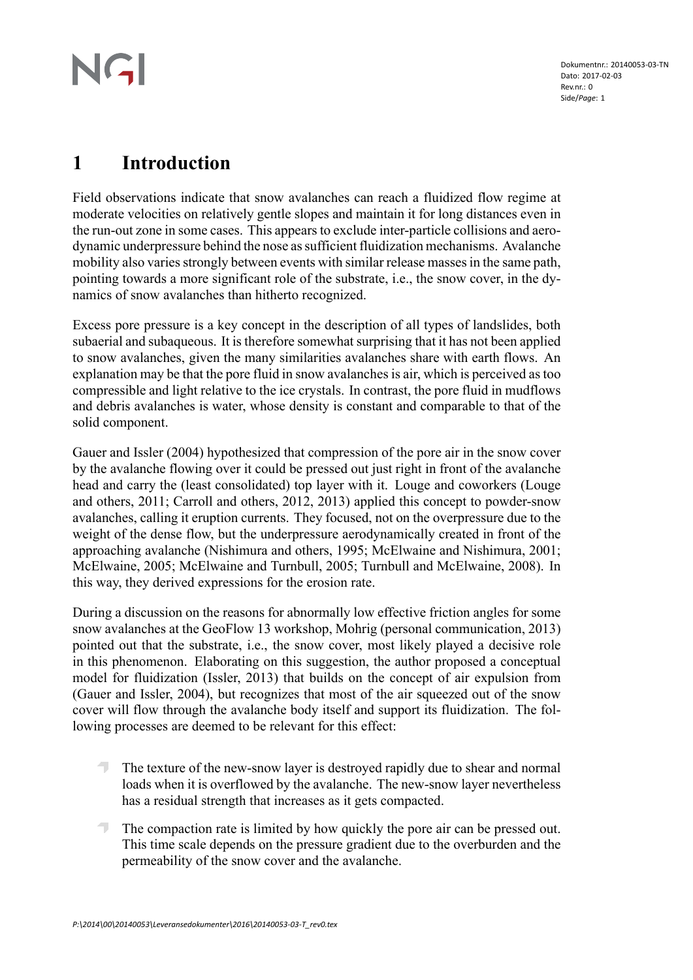# NGI

Dokumentnr.: 20140053-03-TN Dato: 2017-02-03 Rev.nr · 0 Side/*Page*: 1

## **1 Introduction**

Field observations indicate that snow avalanches can reach a fluidized flow regime at moderate velocities on relatively gentle slopes and maintain it for long distances even in the run-out zone in some cases. This appears to exclude inter-particle collisions and aerodynamic underpressure behind the nose as sufficient fluidization mechanisms. Avalanche mobility also varies strongly between events with similar release masses in the same path, pointing towards a more significant role of the substrate, i.e., the snow cover, in the dynamics of snow avalanches than hitherto recognized.

Excess pore pressure is a key concept in the description of all types of landslides, both subaerial and subaqueous. It is therefore somewhat surprising that it has not been applied to snow avalanches, given the many similarities avalanches share with earth flows. An explanation may be that the pore fluid in snow avalanches is air, which is perceived as too compressible and light relative to the ice crystals. In contrast, the pore fluid in mudflows and debris avalanches is water, whose density is constant and comparable to that of the solid component.

Gauer and Issler (2004) hypothesized that compression of the pore air in the snow cover by the avalanche flowing over it could be pressed out just right in front of the avalanche head and carry the (least consolidated) top layer with it. Louge and coworkers (Louge and others, 2011; Carroll and others, 2012, 2013) applied this concept to powder-snow avalanches, calling it eruption currents. They focused, not on the overpressure due to the weight of the dense flow, but the underpressure aerodynamically created in front of the approaching avalanche (Nishimura and others, 1995; McElwaine and Nishimura, 2001; McElwaine, 2005; McElwaine and Turnbull, 2005; Turnbull and McElwaine, 2008). In this way, they derived expressions for the erosion rate.

During a discussion on the reasons for abnormally low effective friction angles for some snow avalanches at the GeoFlow 13 workshop, Mohrig (personal communication, 2013) pointed out that the substrate, i.e., the snow cover, most likely played a decisive role in this phenomenon. Elaborating on this suggestion, the author proposed a conceptual model for fluidization (Issler, 2013) that builds on the concept of air expulsion from (Gauer and Issler, 2004), but recognizes that most of the air squeezed out of the snow cover will flow through the avalanche body itself and support its fluidization. The following processes are deemed to be relevant for this effect:

- $\overline{\phantom{a}}$ The texture of the new-snow layer is destroyed rapidly due to shear and normal loads when it is overflowed by the avalanche. The new-snow layer nevertheless has a residual strength that increases as it gets compacted.
- $\overline{\phantom{a}}$ The compaction rate is limited by how quickly the pore air can be pressed out. This time scale depends on the pressure gradient due to the overburden and the permeability of the snow cover and the avalanche.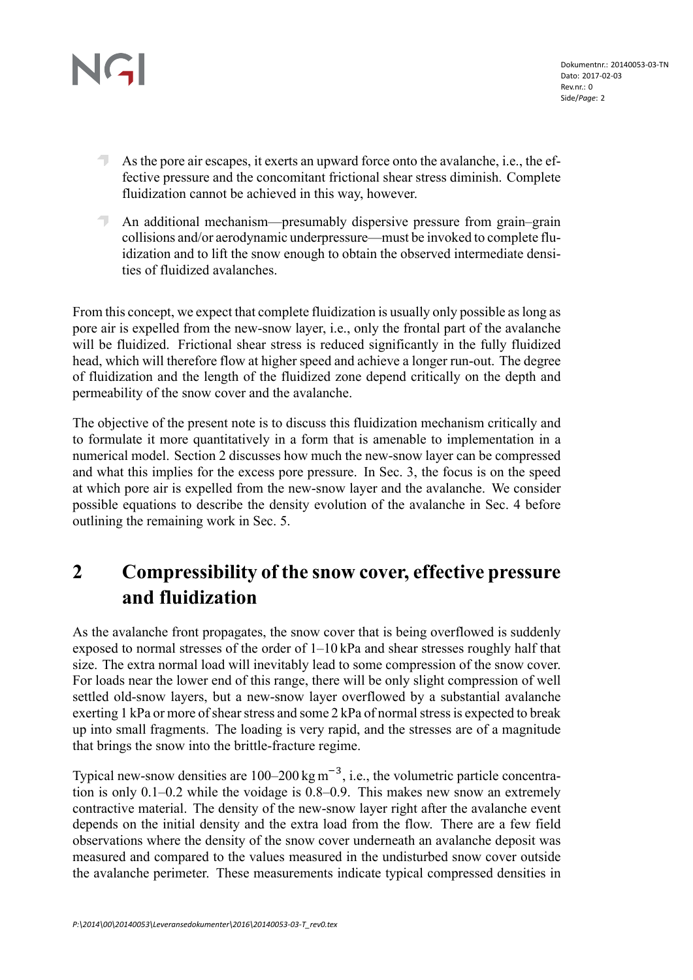- As the pore air escapes, it exerts an upward force onto the avalanche, i.e., the effective pressure and the concomitant frictional shear stress diminish. Complete fluidization cannot be achieved in this way, however.
- An additional mechanism—presumably dispersive pressure from grain–grain collisions and/or aerodynamic underpressure—must be invoked to complete fluidization and to lift the snow enough to obtain the observed intermediate densities of fluidized avalanches.

From this concept, we expect that complete fluidization is usually only possible as long as pore air is expelled from the new-snow layer, i.e., only the frontal part of the avalanche will be fluidized. Frictional shear stress is reduced significantly in the fully fluidized head, which will therefore flow at higher speed and achieve a longer run-out. The degree of fluidization and the length of the fluidized zone depend critically on the depth and permeability of the snow cover and the avalanche.

The objective of the present note is to discuss this fluidization mechanism critically and to formulate it more quantitatively in a form that is amenable to implementation in a numerical model. Section 2 discusses how much the new-snow layer can be compressed and what this implies for the excess pore pressure. In Sec. 3, the focus is on the speed at which pore air is expelled from the new-snow layer and the avalanche. We consider possible equations to describe the density evolution of the avalanche in Sec. 4 before outlining the remaining work in Sec. 5.

## **2 Compressibility of the snow cover, effective pressure and fluidization**

As the avalanche front propagates, the snow cover that is being overflowed is suddenly exposed to normal stresses of the order of 1–10 kPa and shear stresses roughly half that size. The extra normal load will inevitably lead to some compression of the snow cover. For loads near the lower end of this range, there will be only slight compression of well settled old-snow layers, but a new-snow layer overflowed by a substantial avalanche exerting 1 kPa or more of shear stress and some 2 kPa of normal stress is expected to break up into small fragments. The loading is very rapid, and the stresses are of a magnitude that brings the snow into the brittle-fracture regime.

Typical new-snow densities are  $100-200 \text{ kg m}^{-3}$ , i.e., the volumetric particle concentration is only 0.1–0.2 while the voidage is 0.8–0.9. This makes new snow an extremely contractive material. The density of the new-snow layer right after the avalanche event depends on the initial density and the extra load from the flow. There are a few field observations where the density of the snow cover underneath an avalanche deposit was measured and compared to the values measured in the undisturbed snow cover outside the avalanche perimeter. These measurements indicate typical compressed densities in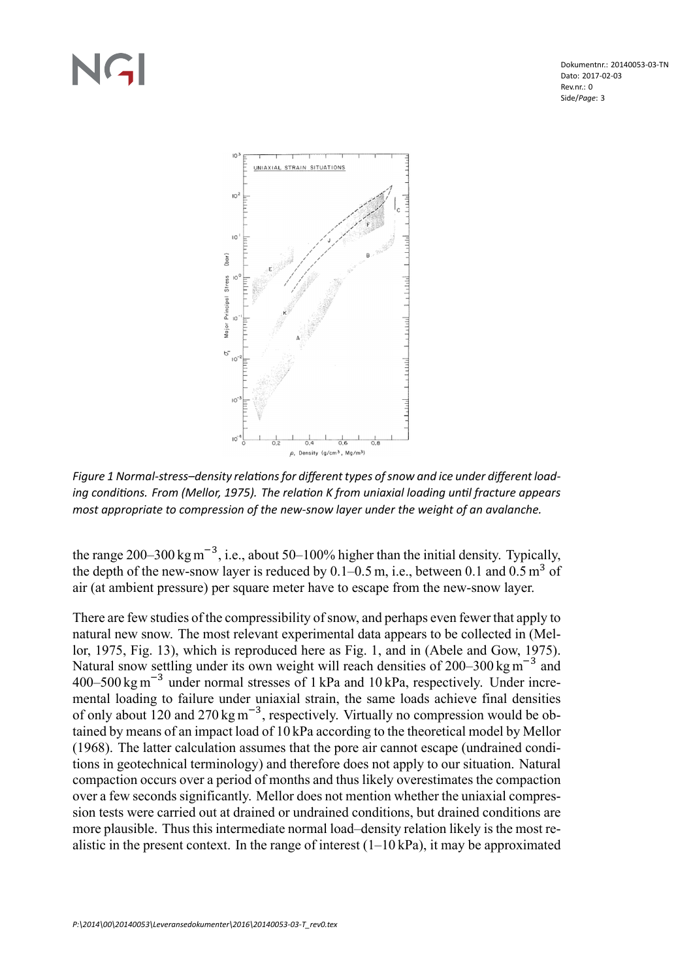Dokumentnr.: 20140053-03-TN Dato: 2017-02-03 Rev.nr · 0 Side/*Page*: 3



Figure 1 Normal-stress-density relations for different types of snow and ice under different loading conditions. From (Mellor, 1975). The relation K from uniaxial loading until fracture appears *most appropriate to compression of the new-snow layer under the weight of an avalanche.*

the range 200–300 kg m<sup>-3</sup>, i.e., about 50–100% higher than the initial density. Typically, the depth of the new-snow layer is reduced by  $0.1-0.5$  m, i.e., between 0.1 and  $0.5$  m<sup>3</sup> of air (at ambient pressure) per square meter have to escape from the new-snow layer.

There are few studies of the compressibility of snow, and perhaps even fewer that apply to natural new snow. The most relevant experimental data appears to be collected in (Mellor, 1975, Fig. 13), which is reproduced here as Fig. 1, and in (Abele and Gow, 1975). Natural snow settling under its own weight will reach densities of  $200-300$  kg m<sup>-3</sup> and  $400-500$  kg m<sup>-3</sup> under normal stresses of 1 kPa and 10 kPa, respectively. Under incremental loading to failure under uniaxial strain, the same loads achieve final densities of only about 120 and 270 kg  $\text{m}^{-3}$ , respectively. Virtually no compression would be obtained by means of an impact load of 10 kPa according to the theoretical model by Mellor (1968). The latter calculation assumes that the pore air cannot escape (undrained conditions in geotechnical terminology) and therefore does not apply to our situation. Natural compaction occurs over a period of months and thus likely overestimates the compaction over a few seconds significantly. Mellor does not mention whether the uniaxial compression tests were carried out at drained or undrained conditions, but drained conditions are more plausible. Thus this intermediate normal load–density relation likely is the most realistic in the present context. In the range of interest  $(1-10 \text{ kPa})$ , it may be approximated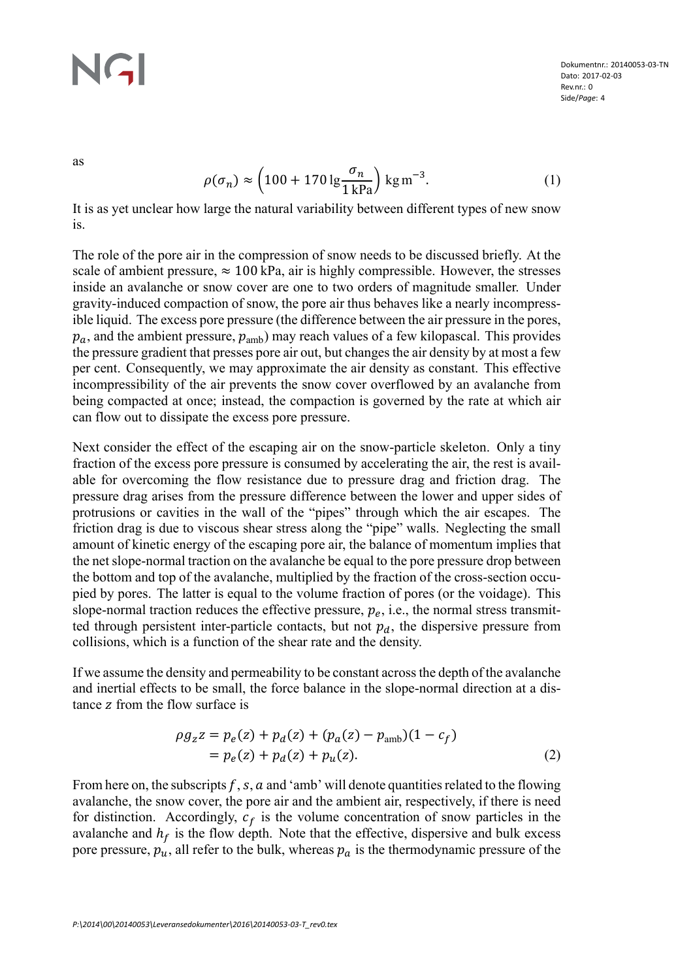as

$$
\rho(\sigma_n) \approx \left(100 + 170 \lg \frac{\sigma_n}{1 \text{ kPa}}\right) \text{ kg m}^{-3}.
$$
\n(1)

It is as yet unclear how large the natural variability between different types of new snow is.

The role of the pore air in the compression of snow needs to be discussed briefly. At the scale of ambient pressure,  $\approx 100$  kPa, air is highly compressible. However, the stresses inside an avalanche or snow cover are one to two orders of magnitude smaller. Under gravity-induced compaction of snow, the pore air thus behaves like a nearly incompressible liquid. The excess pore pressure (the difference between the air pressure in the pores,  $p_a$ , and the ambient pressure,  $p_{amb}$ ) may reach values of a few kilopascal. This provides the pressure gradient that presses pore air out, but changes the air density by at most a few per cent. Consequently, we may approximate the air density as constant. This effective incompressibility of the air prevents the snow cover overflowed by an avalanche from being compacted at once; instead, the compaction is governed by the rate at which air can flow out to dissipate the excess pore pressure.

Next consider the effect of the escaping air on the snow-particle skeleton. Only a tiny fraction of the excess pore pressure is consumed by accelerating the air, the rest is available for overcoming the flow resistance due to pressure drag and friction drag. The pressure drag arises from the pressure difference between the lower and upper sides of protrusions or cavities in the wall of the "pipes" through which the air escapes. The friction drag is due to viscous shear stress along the "pipe" walls. Neglecting the small amount of kinetic energy of the escaping pore air, the balance of momentum implies that the net slope-normal traction on the avalanche be equal to the pore pressure drop between the bottom and top of the avalanche, multiplied by the fraction of the cross-section occupied by pores. The latter is equal to the volume fraction of pores (or the voidage). This slope-normal traction reduces the effective pressure,  $p_e$ , i.e., the normal stress transmitted through persistent inter-particle contacts, but not  $p_d$ , the dispersive pressure from collisions, which is a function of the shear rate and the density.

If we assume the density and permeability to be constant across the depth of the avalanche and inertial effects to be small, the force balance in the slope-normal direction at a distance z from the flow surface is

$$
\rho g_z z = p_e(z) + p_d(z) + (p_a(z) - p_{amb})(1 - c_f)
$$
  
=  $p_e(z) + p_d(z) + p_u(z)$ . (2)

From here on, the subscripts  $f, s, a$  and 'amb' will denote quantities related to the flowing avalanche, the snow cover, the pore air and the ambient air, respectively, if there is need for distinction. Accordingly,  $c_f$  is the volume concentration of snow particles in the avalanche and  $h_f$  is the flow depth. Note that the effective, dispersive and bulk excess pore pressure,  $p_u$ , all refer to the bulk, whereas  $p_a$  is the thermodynamic pressure of the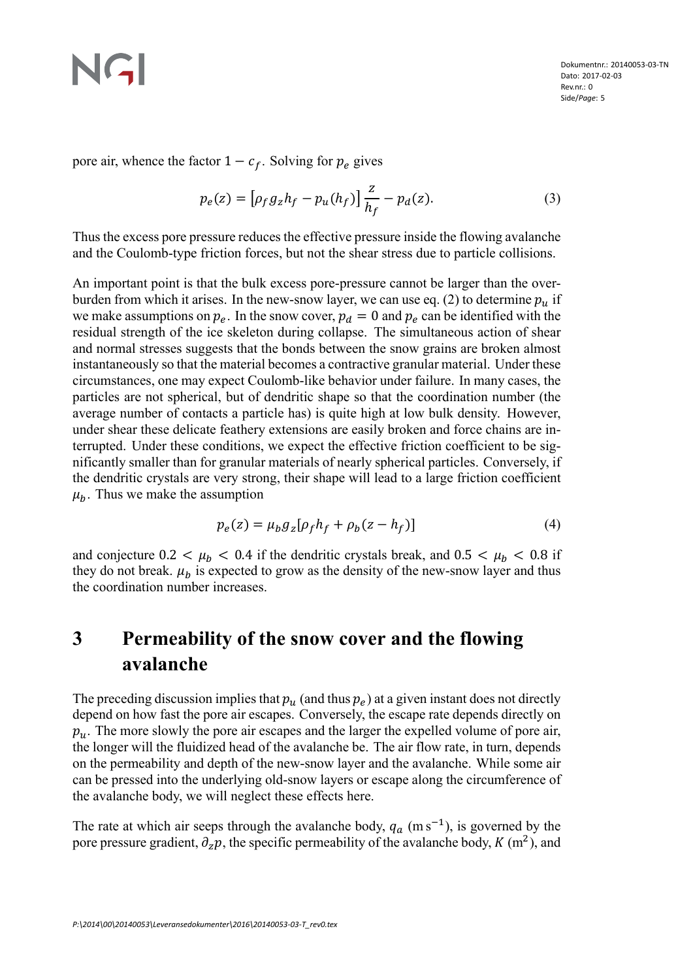## NGI

pore air, whence the factor  $1 - c_f$ . Solving for  $p_e$  gives

$$
p_e(z) = \left[ \rho_f g_z h_f - p_u(h_f) \right] \frac{z}{h_f} - p_d(z). \tag{3}
$$

Thus the excess pore pressure reduces the effective pressure inside the flowing avalanche and the Coulomb-type friction forces, but not the shear stress due to particle collisions.

An important point is that the bulk excess pore-pressure cannot be larger than the overburden from which it arises. In the new-snow layer, we can use eq. (2) to determine  $p_u$  if we make assumptions on  $p_e$ . In the snow cover,  $p_d = 0$  and  $p_e$  can be identified with the residual strength of the ice skeleton during collapse. The simultaneous action of shear and normal stresses suggests that the bonds between the snow grains are broken almost instantaneously so that the material becomes a contractive granular material. Under these circumstances, one may expect Coulomb-like behavior under failure. In many cases, the particles are not spherical, but of dendritic shape so that the coordination number (the average number of contacts a particle has) is quite high at low bulk density. However, under shear these delicate feathery extensions are easily broken and force chains are interrupted. Under these conditions, we expect the effective friction coefficient to be significantly smaller than for granular materials of nearly spherical particles. Conversely, if the dendritic crystals are very strong, their shape will lead to a large friction coefficient  $\mu_b$ . Thus we make the assumption

$$
p_e(z) = \mu_b g_z [\rho_f h_f + \rho_b (z - h_f)] \tag{4}
$$

and conjecture  $0.2 < \mu_b < 0.4$  if the dendritic crystals break, and  $0.5 < \mu_b < 0.8$  if they do not break.  $\mu_b$  is expected to grow as the density of the new-snow layer and thus the coordination number increases.

## **3 Permeability of the snow cover and the flowing avalanche**

The preceding discussion implies that  $p_u$  (and thus  $p_e$ ) at a given instant does not directly depend on how fast the pore air escapes. Conversely, the escape rate depends directly on  $p_u$ . The more slowly the pore air escapes and the larger the expelled volume of pore air, the longer will the fluidized head of the avalanche be. The air flow rate, in turn, depends on the permeability and depth of the new-snow layer and the avalanche. While some air can be pressed into the underlying old-snow layers or escape along the circumference of the avalanche body, we will neglect these effects here.

The rate at which air seeps through the avalanche body,  $q_a$  (m s<sup>-1</sup>), is governed by the pore pressure gradient,  $\partial_z p$ , the specific permeability of the avalanche body,  $K(m^2)$ , and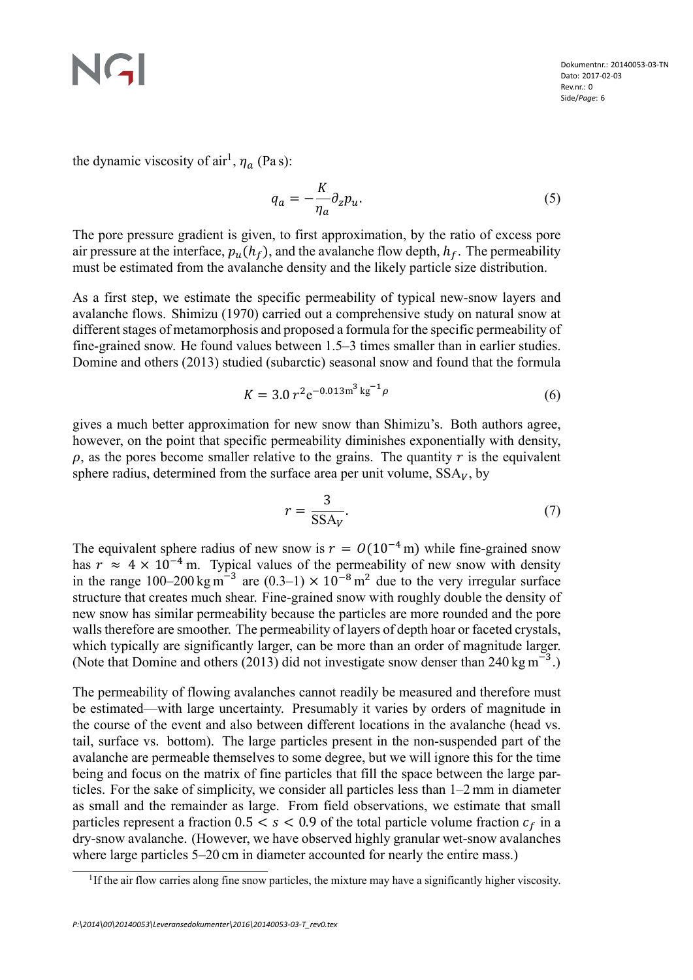the dynamic viscosity of  $air<sup>1</sup>$ ,  $\eta_a$  (Pas):

$$
q_a = -\frac{K}{\eta_a} \partial_z p_u. \tag{5}
$$

The pore pressure gradient is given, to first approximation, by the ratio of excess pore air pressure at the interface,  $p_{\mu}(h_f)$ , and the avalanche flow depth,  $h_f$ . The permeability must be estimated from the avalanche density and the likely particle size distribution.

As a first step, we estimate the specific permeability of typical new-snow layers and avalanche flows. Shimizu (1970) carried out a comprehensive study on natural snow at different stages of metamorphosis and proposed a formula for the specific permeability of fine-grained snow. He found values between 1.5–3 times smaller than in earlier studies. Domine and others (2013) studied (subarctic) seasonal snow and found that the formula

$$
K = 3.0 r^2 e^{-0.013 m^3 \text{kg}^{-1} \rho}
$$
 (6)

gives a much better approximation for new snow than Shimizu's. Both authors agree, however, on the point that specific permeability diminishes exponentially with density,  $\rho$ , as the pores become smaller relative to the grains. The quantity r is the equivalent sphere radius, determined from the surface area per unit volume,  $SSA_V$ , by

$$
r = \frac{3}{\text{SSA}_V}.\tag{7}
$$

The equivalent sphere radius of new snow is  $r = O(10^{-4} \text{ m})$  while fine-grained snow has  $r \approx 4 \times 10^{-4}$  m. Typical values of the permeability of new snow with density in the range  $100-200 \text{ kg m}^{-3}$  are  $(0.3-1) \times 10^{-8} \text{ m}^2$  due to the very irregular surface structure that creates much shear. Fine-grained snow with roughly double the density of new snow has similar permeability because the particles are more rounded and the pore walls therefore are smoother. The permeability of layers of depth hoar or faceted crystals, which typically are significantly larger, can be more than an order of magnitude larger. (Note that Domine and others (2013) did not investigate snow denser than  $240 \text{ kg m}^{-3}$ .)

The permeability of flowing avalanches cannot readily be measured and therefore must be estimated—with large uncertainty. Presumably it varies by orders of magnitude in the course of the event and also between different locations in the avalanche (head vs. tail, surface vs. bottom). The large particles present in the non-suspended part of the avalanche are permeable themselves to some degree, but we will ignore this for the time being and focus on the matrix of fine particles that fill the space between the large particles. For the sake of simplicity, we consider all particles less than 1–2 mm in diameter as small and the remainder as large. From field observations, we estimate that small particles represent a fraction  $0.5 < s < 0.9$  of the total particle volume fraction  $c_f$  in a dry-snow avalanche. (However, we have observed highly granular wet-snow avalanches where large particles 5–20 cm in diameter accounted for nearly the entire mass.)

<sup>&</sup>lt;sup>1</sup>If the air flow carries along fine snow particles, the mixture may have a significantly higher viscosity.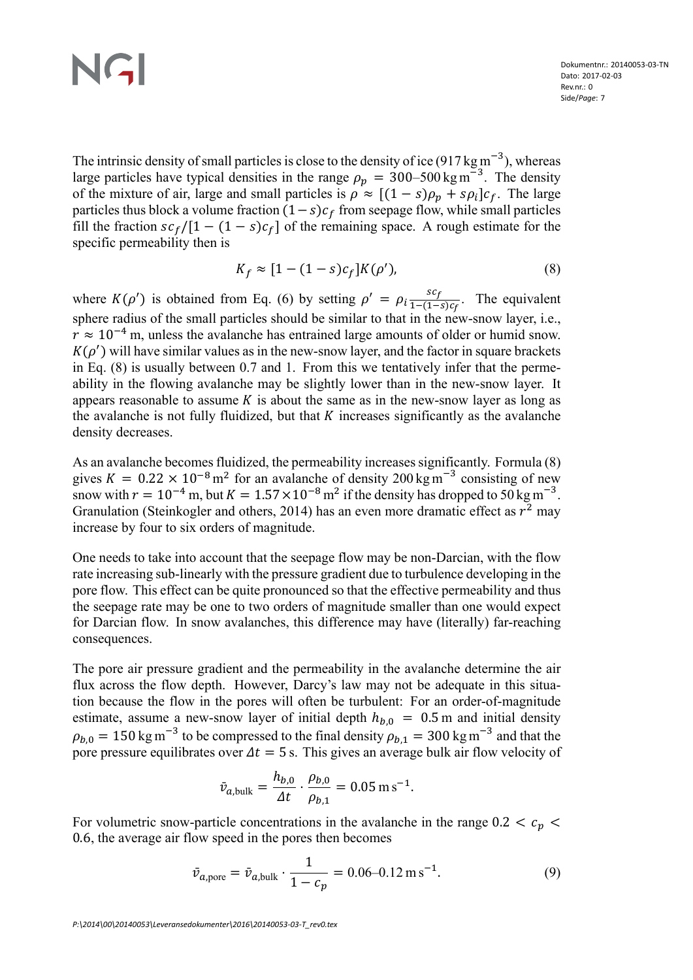The intrinsic density of small particles is close to the density of ice (917 kg m<sup>-3</sup>), whereas large particles have typical densities in the range  $\rho_p = 300-500 \text{ kg m}^{-3}$ . The density of the mixture of air, large and small particles is  $\rho \approx [(1-s)\rho_p + s\rho_i]c_f$ . The large particles thus block a volume fraction  $(1 - s)c_f$  from seepage flow, while small particles fill the fraction  $s c_f/[1 - (1 - s)c_f]$  of the remaining space. A rough estimate for the specific permeability then is

$$
K_f \approx [1 - (1 - s)c_f]K(\rho'),\tag{8}
$$

where  $K(\rho')$  is obtained from Eq. (6) by setting  $\rho' = \rho_i \frac{sc_f}{1-(1-\rho)}$  $\frac{sc_f}{1-(1-s)c_f}$ . The equivalent sphere radius of the small particles should be similar to that in the new-snow layer, i.e.,  $r \approx 10^{-4}$  m, unless the avalanche has entrained large amounts of older or humid snow.  $K(\rho')$  will have similar values as in the new-snow layer, and the factor in square brackets in Eq. (8) is usually between 0.7 and 1. From this we tentatively infer that the permeability in the flowing avalanche may be slightly lower than in the new-snow layer. It appears reasonable to assume  $K$  is about the same as in the new-snow layer as long as the avalanche is not fully fluidized, but that  $K$  increases significantly as the avalanche density decreases.

As an avalanche becomes fluidized, the permeability increases significantly. Formula (8) gives  $K = 0.22 \times 10^{-8} \text{ m}^2$  for an avalanche of density 200 kg m<sup>-3</sup> consisting of new snow with  $r = 10^{-4}$  m, but  $K = 1.57 \times 10^{-8}$  m<sup>2</sup> if the density has dropped to 50 kg m<sup>-3</sup>. Granulation (Steinkogler and others, 2014) has an even more dramatic effect as  $r^2$  may increase by four to six orders of magnitude.

One needs to take into account that the seepage flow may be non-Darcian, with the flow rate increasing sub-linearly with the pressure gradient due to turbulence developing in the pore flow. This effect can be quite pronounced so that the effective permeability and thus the seepage rate may be one to two orders of magnitude smaller than one would expect for Darcian flow. In snow avalanches, this difference may have (literally) far-reaching consequences.

The pore air pressure gradient and the permeability in the avalanche determine the air flux across the flow depth. However, Darcy's law may not be adequate in this situation because the flow in the pores will often be turbulent: For an order-of-magnitude estimate, assume a new-snow layer of initial depth  $h_{b,0} = 0.5$  m and initial density  $\rho_{b,0} = 150$  kg m<sup>-3</sup> to be compressed to the final density  $\rho_{b,1} = 300$  kg m<sup>-3</sup> and that the pore pressure equilibrates over  $\Delta t = 5$  s. This gives an average bulk air flow velocity of

$$
\bar{v}_{a,\text{bulk}} = \frac{h_{b,0}}{\Delta t} \cdot \frac{\rho_{b,0}}{\rho_{b,1}} = 0.05 \,\text{m s}^{-1}.
$$

For volumetric snow-particle concentrations in the avalanche in the range  $0.2 < c_n$ 0.6, the average air flow speed in the pores then becomes

$$
\bar{v}_{a,\text{pore}} = \bar{v}_{a,\text{bulk}} \cdot \frac{1}{1 - c_p} = 0.06 - 0.12 \,\text{m s}^{-1}.\tag{9}
$$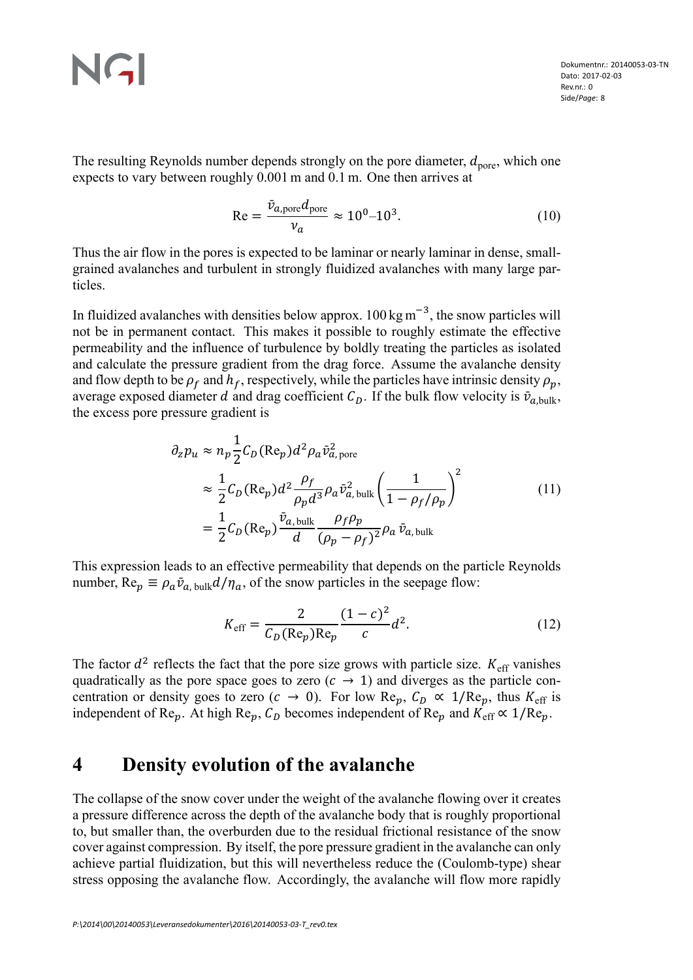The resulting Reynolds number depends strongly on the pore diameter,  $d_{\text{pore}}$ , which one expects to vary between roughly 0.001 m and 0.1 m. One then arrives at

$$
\text{Re} = \frac{\bar{v}_{a,\text{pore}}d_{\text{pore}}}{v_a} \approx 10^0 - 10^3. \tag{10}
$$

Thus the air flow in the pores is expected to be laminar or nearly laminar in dense, smallgrained avalanches and turbulent in strongly fluidized avalanches with many large particles.

In fluidized avalanches with densities below approx.  $100 \text{ kg m}^{-3}$ , the snow particles will not be in permanent contact. This makes it possible to roughly estimate the effective permeability and the influence of turbulence by boldly treating the particles as isolated and calculate the pressure gradient from the drag force. Assume the avalanche density and flow depth to be  $\rho_f$  and  $h_f$ , respectively, while the particles have intrinsic density  $\rho_p$ , average exposed diameter d and drag coefficient  $C_p$ . If the bulk flow velocity is  $\bar{v}_{a,bulk}$ , the excess pore pressure gradient is

$$
\partial_z p_u \approx n_p \frac{1}{2} C_D (\text{Re}_p) d^2 \rho_a \bar{v}_{a,\text{pore}}^2
$$
  
\n
$$
\approx \frac{1}{2} C_D (\text{Re}_p) d^2 \frac{\rho_f}{\rho_p d^3} \rho_a \bar{v}_{a,\text{bulk}}^2 \left(\frac{1}{1 - \rho_f/\rho_p}\right)^2
$$
  
\n
$$
= \frac{1}{2} C_D (\text{Re}_p) \frac{\bar{v}_{a,\text{bulk}}}{d} \frac{\rho_f \rho_p}{(\rho_p - \rho_f)^2} \rho_a \bar{v}_{a,\text{bulk}}
$$
\n(11)

This expression leads to an effective permeability that depends on the particle Reynolds number,  $\text{Re}_p \equiv \rho_a \bar{v}_{a, \text{bulk}} d / \eta_a$ , of the snow particles in the seepage flow:

$$
K_{\text{eff}} = \frac{2}{C_D(\text{Re}_p)\text{Re}_p} \frac{(1-c)^2}{c} d^2.
$$
 (12)

The factor  $d^2$  reflects the fact that the pore size grows with particle size.  $K_{\text{eff}}$  vanishes quadratically as the pore space goes to zero  $(c \rightarrow 1)$  and diverges as the particle concentration or density goes to zero ( $c \to 0$ ). For low Re<sub>p</sub>,  $C_D \propto 1/Re_p$ , thus  $K_{\text{eff}}$  is independent of Re<sub>p</sub>. At high Re<sub>p</sub>,  $C_D$  becomes independent of Re<sub>p</sub> and  $K_{\text{eff}} \propto 1/\text{Re}_p$ .

## **4 Density evolution of the avalanche**

The collapse of the snow cover under the weight of the avalanche flowing over it creates a pressure difference across the depth of the avalanche body that is roughly proportional to, but smaller than, the overburden due to the residual frictional resistance of the snow cover against compression. By itself, the pore pressure gradient in the avalanche can only achieve partial fluidization, but this will nevertheless reduce the (Coulomb-type) shear stress opposing the avalanche flow. Accordingly, the avalanche will flow more rapidly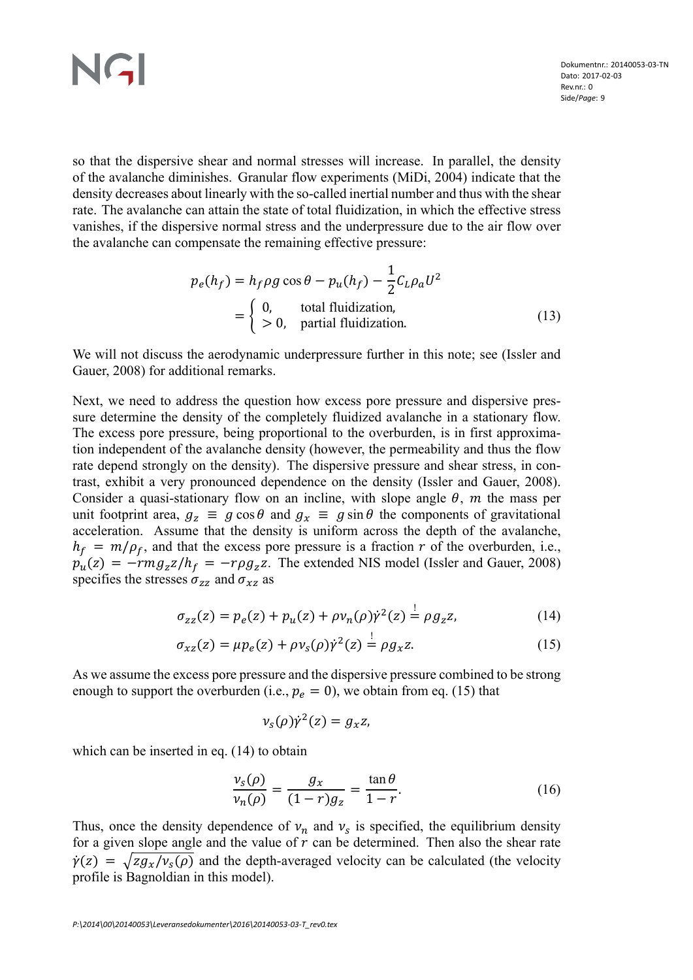so that the dispersive shear and normal stresses will increase. In parallel, the density of the avalanche diminishes. Granular flow experiments (MiDi, 2004) indicate that the density decreases about linearly with the so-called inertial number and thus with the shear rate. The avalanche can attain the state of total fluidization, in which the effective stress vanishes, if the dispersive normal stress and the underpressure due to the air flow over the avalanche can compensate the remaining effective pressure:

$$
p_e(h_f) = h_f \rho g \cos \theta - p_u(h_f) - \frac{1}{2} C_L \rho_a U^2
$$
  
= 
$$
\begin{cases} 0, & \text{total fluidization,} \\ > 0, & \text{partial fluidization.} \end{cases}
$$
 (13)

We will not discuss the aerodynamic underpressure further in this note; see (Issler and Gauer, 2008) for additional remarks.

Next, we need to address the question how excess pore pressure and dispersive pressure determine the density of the completely fluidized avalanche in a stationary flow. The excess pore pressure, being proportional to the overburden, is in first approximation independent of the avalanche density (however, the permeability and thus the flow rate depend strongly on the density). The dispersive pressure and shear stress, in contrast, exhibit a very pronounced dependence on the density (Issler and Gauer, 2008). Consider a quasi-stationary flow on an incline, with slope angle  $\theta$ , m the mass per unit footprint area,  $g_z \equiv g \cos \theta$  and  $g_x \equiv g \sin \theta$  the components of gravitational acceleration. Assume that the density is uniform across the depth of the avalanche,  $h_f = m/\rho_f$ , and that the excess pore pressure is a fraction r of the overburden, i.e.,  $p_u(z) = -rmg_zz/h_f = -r\rho g_zz$ . The extended NIS model (Issler and Gauer, 2008) specifies the stresses  $\sigma_{zz}$  and  $\sigma_{xz}$  as

$$
\sigma_{zz}(z) = p_e(z) + p_u(z) + \rho v_n(\rho) \dot{\gamma}^2(z) = \rho g_z z,\tag{14}
$$

$$
\sigma_{xz}(z) = \mu p_e(z) + \rho v_s(\rho) \dot{\gamma}^2(z) = \rho g_x z. \tag{15}
$$

As we assume the excess pore pressure and the dispersive pressure combined to be strong enough to support the overburden (i.e.,  $p_e = 0$ ), we obtain from eq. (15) that

$$
\nu_s(\rho)\dot{\gamma}^2(z)=g_xz,
$$

which can be inserted in eq.  $(14)$  to obtain

$$
\frac{v_s(\rho)}{v_n(\rho)} = \frac{g_x}{(1-r)g_z} = \frac{\tan \theta}{1-r}.
$$
\n(16)

Thus, once the density dependence of  $v_n$  and  $v_s$  is specified, the equilibrium density for a given slope angle and the value of  $r$  can be determined. Then also the shear rate  $\dot{\gamma}(z) = \sqrt{z g_x / v_s(\rho)}$  and the depth-averaged velocity can be calculated (the velocity profile is Bagnoldian in this model).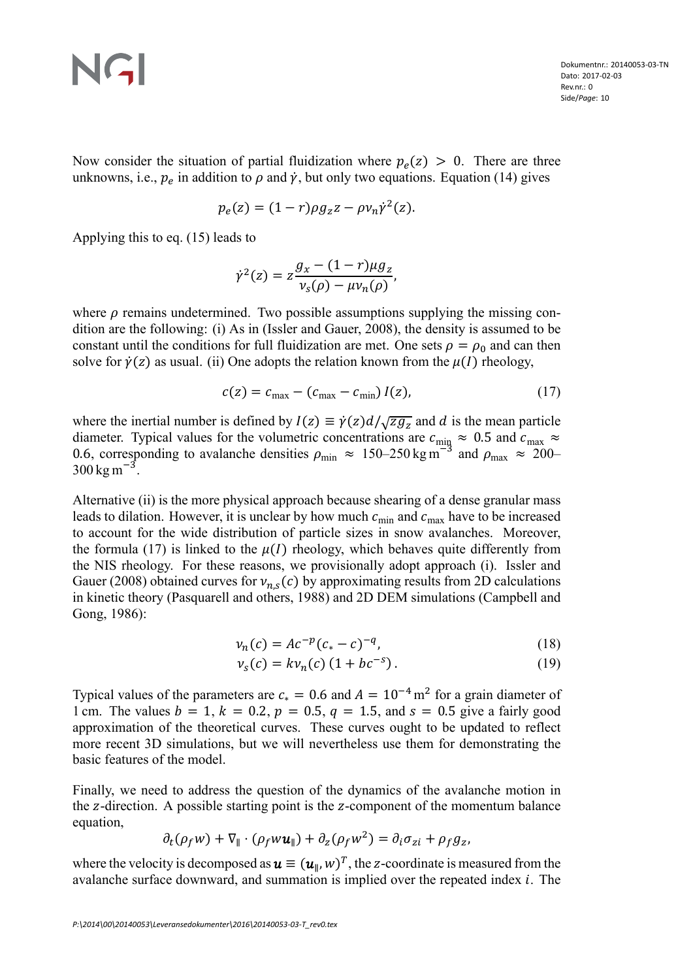Now consider the situation of partial fluidization where  $p_e(z) > 0$ . There are three unknowns, i.e.,  $p_e$  in addition to  $\rho$  and  $\dot{\gamma}$ , but only two equations. Equation (14) gives

$$
p_e(z) = (1 - r)\rho g_z z - \rho v_n \dot{\gamma}^2(z).
$$

Applying this to eq. (15) leads to

$$
\dot{\gamma}^2(z) = z \frac{g_x - (1 - r)\mu g_z}{v_s(\rho) - \mu v_n(\rho)},
$$

where  $\rho$  remains undetermined. Two possible assumptions supplying the missing condition are the following: (i) As in (Issler and Gauer, 2008), the density is assumed to be constant until the conditions for full fluidization are met. One sets  $\rho = \rho_0$  and can then solve for  $\dot{\gamma}(z)$  as usual. (ii) One adopts the relation known from the  $\mu(I)$  rheology,

$$
c(z) = c_{\text{max}} - (c_{\text{max}} - c_{\text{min}}) I(z), \qquad (17)
$$

where the inertial number is defined by  $I(z) \equiv \dot{\gamma}(z) d/\sqrt{z g_z}$  and d is the mean particle diameter. Typical values for the volumetric concentrations are  $c_{\text{min}} \approx 0.5$  and  $c_{\text{max}} \approx$ 0.6, corresponding to avalanche densities  $\rho_{\text{min}} \approx 150-250 \text{ kg m}^{-3}$  and  $\rho_{\text{max}} \approx 200 300 \text{ kg m}^{-3}$ .

Alternative (ii) is the more physical approach because shearing of a dense granular mass leads to dilation. However, it is unclear by how much  $c_{\min}$  and  $c_{\max}$  have to be increased to account for the wide distribution of particle sizes in snow avalanches. Moreover, the formula (17) is linked to the  $\mu(I)$  rheology, which behaves quite differently from the NIS rheology. For these reasons, we provisionally adopt approach (i). Issler and Gauer (2008) obtained curves for  $v_{n,s}(c)$  by approximating results from 2D calculations in kinetic theory (Pasquarell and others, 1988) and 2D DEM simulations (Campbell and Gong, 1986):

$$
\nu_n(c) = Ac^{-p}(c_* - c)^{-q},\tag{18}
$$

$$
\nu_s(c) = k \nu_n(c) (1 + b c^{-s}). \tag{19}
$$

Typical values of the parameters are  $c_* = 0.6$  and  $A = 10^{-4}$  m<sup>2</sup> for a grain diameter of 1 cm. The values  $b = 1$ ,  $k = 0.2$ ,  $p = 0.5$ ,  $q = 1.5$ , and  $s = 0.5$  give a fairly good approximation of the theoretical curves. These curves ought to be updated to reflect more recent 3D simulations, but we will nevertheless use them for demonstrating the basic features of the model.

Finally, we need to address the question of the dynamics of the avalanche motion in the  $z$ -direction. A possible starting point is the  $z$ -component of the momentum balance equation,

$$
\partial_t(\rho_f w) + \nabla_{\parallel} \cdot (\rho_f w u_{\parallel}) + \partial_z(\rho_f w^2) = \partial_i \sigma_{zi} + \rho_f g_z,
$$

where the velocity is decomposed as  $\boldsymbol{u} \equiv (\boldsymbol{u}_{\parallel}, w)^T$ , the z-coordinate is measured from the avalanche surface downward, and summation is implied over the repeated index  $i$ . The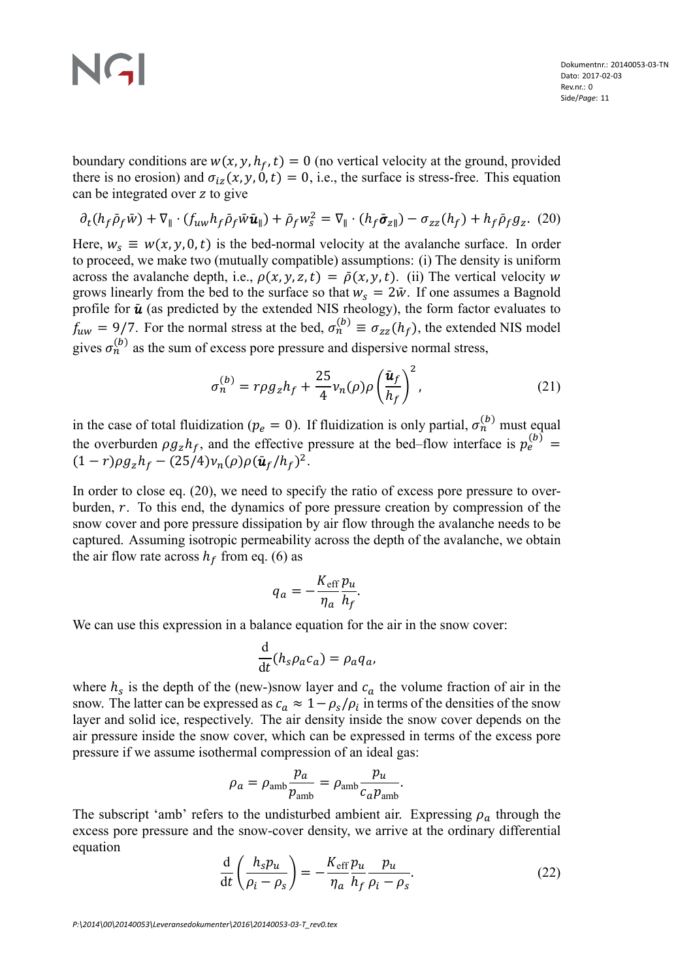boundary conditions are  $w(x, y, h_f, t) = 0$  (no vertical velocity at the ground, provided there is no erosion) and  $\sigma_{iz}(x, y, 0, t) = 0$ , i.e., the surface is stress-free. This equation can be integrated over z to give

$$
\partial_t (h_f \bar{\rho}_f \bar{w}) + \nabla_{\parallel} \cdot (f_{uw} h_f \bar{\rho}_f \bar{w} \bar{u}_{\parallel}) + \bar{\rho}_f w_s^2 = \nabla_{\parallel} \cdot (h_f \bar{\sigma}_{z\parallel}) - \sigma_{zz} (h_f) + h_f \bar{\rho}_f g_z. (20)
$$

Here,  $w_s \equiv w(x, y, 0, t)$  is the bed-normal velocity at the avalanche surface. In order to proceed, we make two (mutually compatible) assumptions: (i) The density is uniform across the avalanche depth, i.e.,  $\rho(x, y, z, t) = \overline{\rho}(x, y, t)$ . (ii) The vertical velocity w grows linearly from the bed to the surface so that  $w_s = 2\bar{w}$ . If one assumes a Bagnold profile for  $\bar{u}$  (as predicted by the extended NIS rheology), the form factor evaluates to  $f_{uw} = 9/7$ . For the normal stress at the bed,  $\sigma_n^{(b)} \equiv \sigma_{zz}(h_f)$ , the extended NIS model gives  $\sigma_n^{(b)}$  as the sum of excess pore pressure and dispersive normal stress,

$$
\sigma_n^{(b)} = r \rho g_z h_f + \frac{25}{4} v_n(\rho) \rho \left(\frac{\bar{u}_f}{h_f}\right)^2, \qquad (21)
$$

in the case of total fluidization ( $p_e = 0$ ). If fluidization is only partial,  $\sigma_n^{(b)}$  must equal the overburden  $\rho g_z h_f$ , and the effective pressure at the bed–flow interface is  $p_e^{(b)}$  =  $(1 - r)\rho g_z h_f - (25/4)v_n(\rho)\rho(\bar{u}_f/h_f)^2$ .

In order to close eq. (20), we need to specify the ratio of excess pore pressure to overburden,  $r$ . To this end, the dynamics of pore pressure creation by compression of the snow cover and pore pressure dissipation by air flow through the avalanche needs to be captured. Assuming isotropic permeability across the depth of the avalanche, we obtain the air flow rate across  $h_f$  from eq. (6) as

$$
q_a = -\frac{K_{\rm eff}}{\eta_a} \frac{p_u}{h_f}.
$$

We can use this expression in a balance equation for the air in the snow cover:

$$
\frac{\mathrm{d}}{\mathrm{d}t}(h_s \rho_a c_a) = \rho_a q_a,
$$

where  $h_s$  is the depth of the (new-)snow layer and  $c_a$  the volume fraction of air in the snow. The latter can be expressed as  $c_a \approx 1 - \rho_s/\rho_i$  in terms of the densities of the snow layer and solid ice, respectively. The air density inside the snow cover depends on the air pressure inside the snow cover, which can be expressed in terms of the excess pore pressure if we assume isothermal compression of an ideal gas:

$$
\rho_a = \rho_{\rm amb} \frac{p_a}{p_{\rm amb}} = \rho_{\rm amb} \frac{p_u}{c_a p_{\rm amb}}.
$$

The subscript 'amb' refers to the undisturbed ambient air. Expressing  $\rho_a$  through the excess pore pressure and the snow-cover density, we arrive at the ordinary differential equation

$$
\frac{\mathrm{d}}{\mathrm{d}t} \left( \frac{h_s p_u}{\rho_i - \rho_s} \right) = -\frac{K_{\rm eff}}{\eta_a} \frac{p_u}{h_f} \frac{p_u}{\rho_i - \rho_s}.\tag{22}
$$

*P:\2014\00\20140053\Leveransedokumenter\2016\20140053-03-T\_rev0.tex*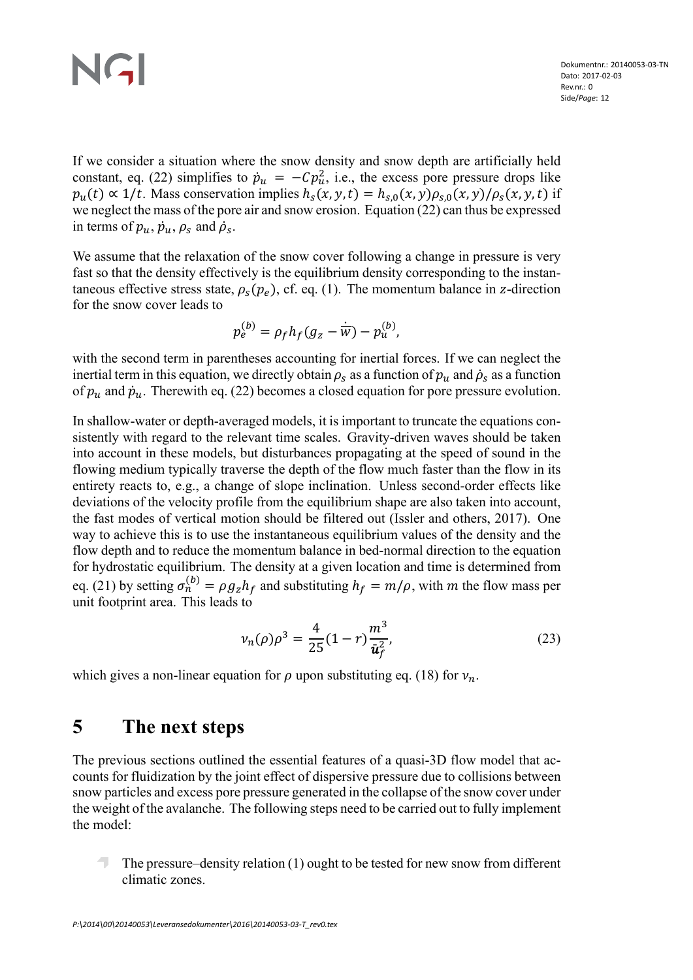If we consider a situation where the snow density and snow depth are artificially held constant, eq. (22) simplifies to  $\dot{p}_u = -Cp_u^2$ , i.e., the excess pore pressure drops like  $p_u(t) \propto 1/t$ . Mass conservation implies  $h_s(x, y, t) = h_{s,0}(x, y) \rho_{s,0}(x, y) / \rho_s(x, y, t)$  if we neglect the mass of the pore air and snow erosion. Equation (22) can thus be expressed in terms of  $p_u$ ,  $\dot{p}_u$ ,  $\rho_s$  and  $\dot{\rho}_s$ .

We assume that the relaxation of the snow cover following a change in pressure is very fast so that the density effectively is the equilibrium density corresponding to the instantaneous effective stress state,  $\rho_s(p_e)$ , cf. eq. (1). The momentum balance in z-direction for the snow cover leads to

$$
p_e^{(b)} = \rho_f h_f (g_z - \dot{\overline{w}}) - p_u^{(b)},
$$

with the second term in parentheses accounting for inertial forces. If we can neglect the inertial term in this equation, we directly obtain  $\rho_s$  as a function of  $p_u$  and  $\dot{\rho}_s$  as a function of  $p_u$  and  $\dot{p}_u$ . Therewith eq. (22) becomes a closed equation for pore pressure evolution.

In shallow-water or depth-averaged models, it is important to truncate the equations consistently with regard to the relevant time scales. Gravity-driven waves should be taken into account in these models, but disturbances propagating at the speed of sound in the flowing medium typically traverse the depth of the flow much faster than the flow in its entirety reacts to, e.g., a change of slope inclination. Unless second-order effects like deviations of the velocity profile from the equilibrium shape are also taken into account, the fast modes of vertical motion should be filtered out (Issler and others, 2017). One way to achieve this is to use the instantaneous equilibrium values of the density and the flow depth and to reduce the momentum balance in bed-normal direction to the equation for hydrostatic equilibrium. The density at a given location and time is determined from eq. (21) by setting  $\sigma_n^{(b)} = \rho g_z h_f$  and substituting  $h_f = m/\rho$ , with m the flow mass per unit footprint area. This leads to

$$
v_n(\rho)\rho^3 = \frac{4}{25}(1-r)\frac{m^3}{\bar{u}_f^2},\tag{23}
$$

which gives a non-linear equation for  $\rho$  upon substituting eq. (18) for  $v_n$ .

## **5 The next steps**

The previous sections outlined the essential features of a quasi-3D flow model that accounts for fluidization by the joint effect of dispersive pressure due to collisions between snow particles and excess pore pressure generated in the collapse of the snow cover under the weight of the avalanche. The following steps need to be carried out to fully implement the model:

The pressure–density relation (1) ought to be tested for new snow from different climatic zones.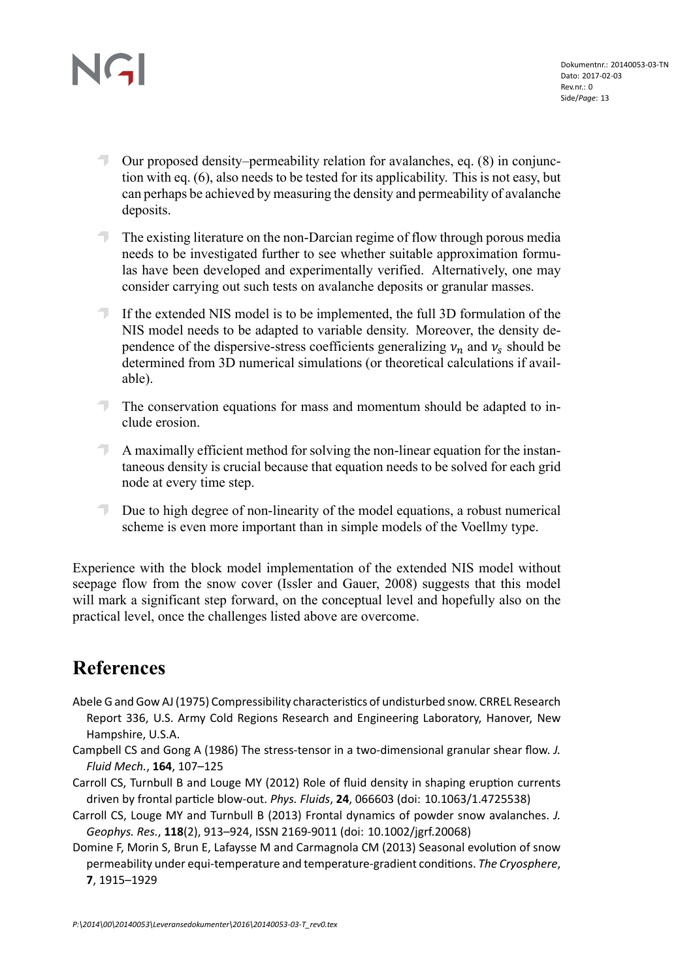- Our proposed density–permeability relation for avalanches, eq. (8) in conjunction with eq. (6), also needs to be tested for its applicability. This is not easy, but can perhaps be achieved by measuring the density and permeability of avalanche deposits.
- $\overline{\phantom{a}}$ The existing literature on the non-Darcian regime of flow through porous media needs to be investigated further to see whether suitable approximation formulas have been developed and experimentally verified. Alternatively, one may consider carrying out such tests on avalanche deposits or granular masses.
- $\overline{\phantom{a}}$ If the extended NIS model is to be implemented, the full 3D formulation of the NIS model needs to be adapted to variable density. Moreover, the density dependence of the dispersive-stress coefficients generalizing  $v_n$  and  $v_s$  should be determined from 3D numerical simulations (or theoretical calculations if available).
- The conservation equations for mass and momentum should be adapted to include erosion.
- A maximally efficient method for solving the non-linear equation for the instantaneous density is crucial because that equation needs to be solved for each grid node at every time step.
- Due to high degree of non-linearity of the model equations, a robust numerical scheme is even more important than in simple models of the Voellmy type.

Experience with the block model implementation of the extended NIS model without seepage flow from the snow cover (Issler and Gauer, 2008) suggests that this model will mark a significant step forward, on the conceptual level and hopefully also on the practical level, once the challenges listed above are overcome.

## **References**

- Abele G and Gow AJ (1975) Compressibility characteristics of undisturbed snow. CRREL Research Report 336, U.S. Army Cold Regions Research and Engineering Laboratory, Hanover, New Hampshire, U.S.A.
- Campbell CS and Gong A (1986) The stress-tensor in a two-dimensional granular shear flow. *J. Fluid Mech.*, **164**, 107–125
- Carroll CS, Turnbull B and Louge MY (2012) Role of fluid density in shaping eruption currents driven by frontal parƟcle blow-out. *Phys. Fluids*, **24**, 066603 (doi: 10.1063/1.4725538)
- Carroll CS, Louge MY and Turnbull B (2013) Frontal dynamics of powder snow avalanches. *J. Geophys. Res.*, **118**(2), 913–924, ISSN 2169-9011 (doi: 10.1002/jgrf.20068)
- Domine F, Morin S, Brun E, Lafaysse M and Carmagnola CM (2013) Seasonal evolution of snow permeability under equi-temperature and temperature-gradient conditions. The Cryosphere, **7**, 1915–1929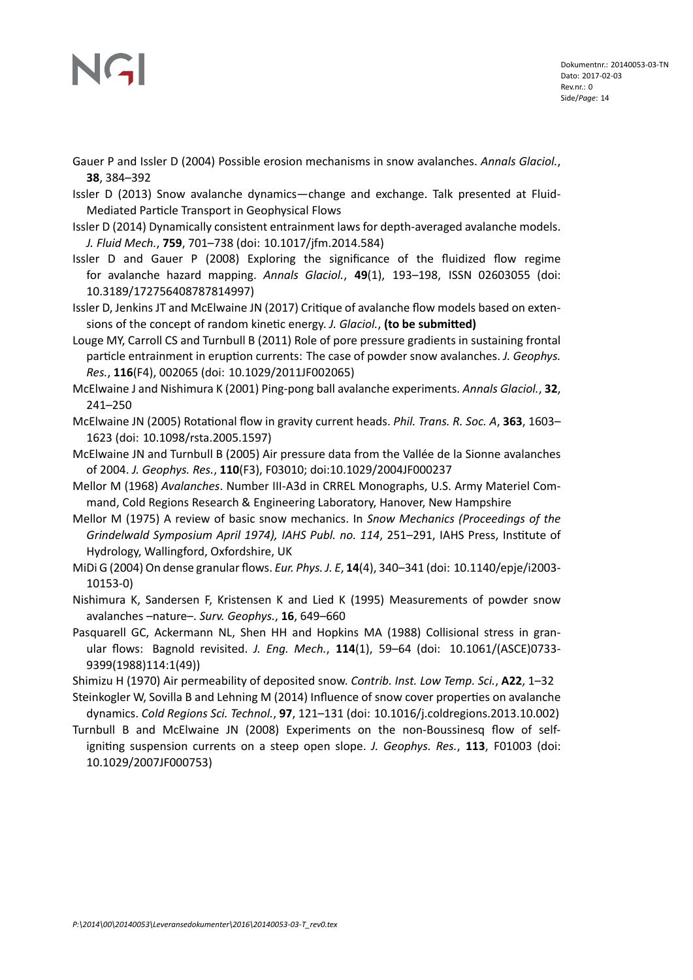# JG

Gauer P and Issler D (2004) Possible erosion mechanisms in snow avalanches. *Annals Glaciol.*, **38**, 384–392

Issler D (2013) Snow avalanche dynamics—change and exchange. Talk presented at Fluid-Mediated Particle Transport in Geophysical Flows

- Issler D (2014) Dynamically consistent entrainment laws for depth-averaged avalanche models. *J. Fluid Mech.*, **759**, 701–738 (doi: 10.1017/jfm.2014.584)
- Issler D and Gauer P (2008) Exploring the significance of the fluidized flow regime for avalanche hazard mapping. *Annals Glaciol.*, **49**(1), 193–198, ISSN 02603055 (doi: 10.3189/172756408787814997)

Issler D, Jenkins JT and McElwaine JN (2017) Critique of avalanche flow models based on extensions of the concept of random kinetic energy. *J. Glaciol.*, (to be submitted)

Louge MY, Carroll CS and Turnbull B (2011) Role of pore pressure gradients in sustaining frontal particle entrainment in eruption currents: The case of powder snow avalanches. *J. Geophys. Res.*, **116**(F4), 002065 (doi: 10.1029/2011JF002065)

McElwaine J and Nishimura K (2001) Ping-pong ball avalanche experiments. *Annals Glaciol.*, **32**, 241–250

McElwaine JN (2005) Rotational flow in gravity current heads. *Phil. Trans. R. Soc. A*, 363, 1603– 1623 (doi: 10.1098/rsta.2005.1597)

McElwaine JN and Turnbull B (2005) Air pressure data from the Vallée de la Sionne avalanches of 2004. *J. Geophys. Res.*, **110**(F3), F03010; doi:10.1029/2004JF000237

Mellor M (1968) *Avalanches*. Number III-A3d in CRREL Monographs, U.S. Army Materiel Command, Cold Regions Research & Engineering Laboratory, Hanover, New Hampshire

Mellor M (1975) A review of basic snow mechanics. In *Snow Mechanics (Proceedings of the Grindelwald Symposium April 1974), IAHS Publ. no. 114, 251–291, IAHS Press, Institute of* Hydrology, Wallingford, Oxfordshire, UK

MiDi G (2004) On dense granular flows. *Eur. Phys. J. E*, **14**(4), 340–341 (doi: 10.1140/epje/i2003- 10153-0)

Nishimura K, Sandersen F, Kristensen K and Lied K (1995) Measurements of powder snow avalanches –nature–. *Surv. Geophys.*, **16**, 649–660

Pasquarell GC, Ackermann NL, Shen HH and Hopkins MA (1988) Collisional stress in granular flows: Bagnold revisited. *J. Eng. Mech.*, **114**(1), 59–64 (doi: 10.1061/(ASCE)0733- 9399(1988)114:1(49))

Shimizu H (1970) Air permeability of deposited snow. *Contrib. Inst. Low Temp. Sci.*, **A22**, 1–32

Steinkogler W, Sovilla B and Lehning M (2014) Influence of snow cover properties on avalanche dynamics. *Cold Regions Sci. Technol.*, **97**, 121–131 (doi: 10.1016/j.coldregions.2013.10.002)

Turnbull B and McElwaine JN (2008) Experiments on the non-Boussinesq flow of selfigniting suspension currents on a steep open slope. *J. Geophys. Res.*, 113, F01003 (doi: 10.1029/2007JF000753)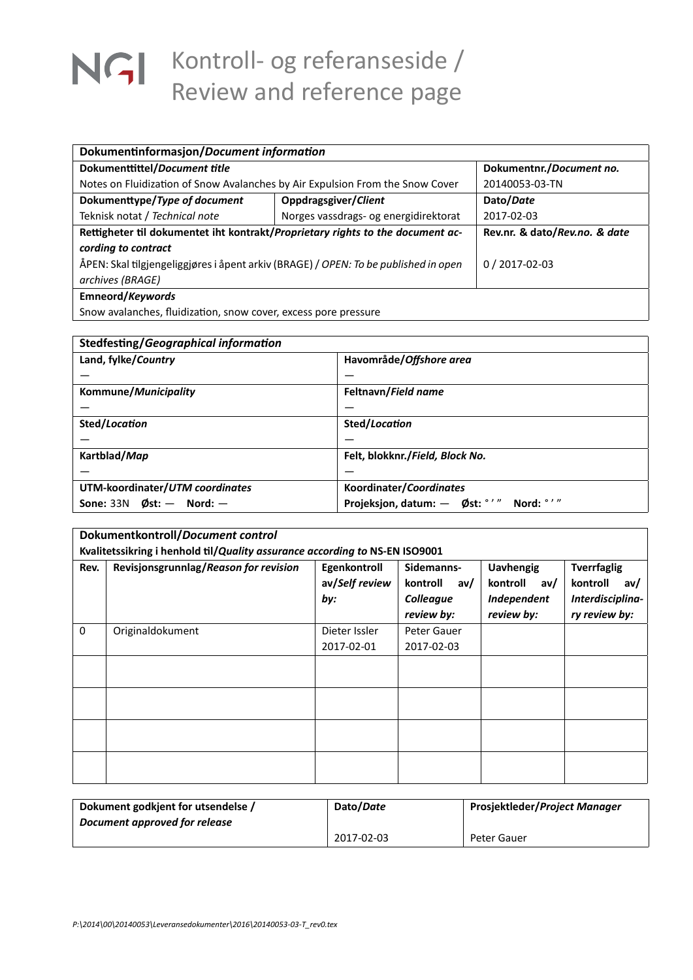## NGI Kontroll- og referanseside / Review and reference page

| Dokumentinformasjon/Document information                                            |                                       |                               |  |
|-------------------------------------------------------------------------------------|---------------------------------------|-------------------------------|--|
| Dokumenttittel/Document title                                                       |                                       | Dokumentnr./Document no.      |  |
| Notes on Fluidization of Snow Avalanches by Air Expulsion From the Snow Cover       |                                       | 20140053-03-TN                |  |
| Dokumenttype/Type of document                                                       | Oppdragsgiver/Client                  | Dato/Date                     |  |
| Teknisk notat / Technical note                                                      | Norges vassdrags- og energidirektorat | 2017-02-03                    |  |
| Rettigheter til dokumentet iht kontrakt/Proprietary rights to the document ac-      |                                       | Rev.nr. & dato/Rev.no. & date |  |
| cording to contract                                                                 |                                       |                               |  |
| ÅPEN: Skal tilgjengeliggjøres i åpent arkiv (BRAGE) / OPEN: To be published in open |                                       | $0/2017 - 02 - 03$            |  |
| archives (BRAGE)                                                                    |                                       |                               |  |
| Emneord/Keywords                                                                    |                                       |                               |  |
| Snow avalanches, fluidization, snow cover, excess pore pressure                     |                                       |                               |  |

| Stedfesting/Geographical information |                                            |  |  |
|--------------------------------------|--------------------------------------------|--|--|
| Land, fylke/Country                  | Havområde/Offshore area                    |  |  |
|                                      |                                            |  |  |
| Kommune/Municipality                 | Feltnavn/Field name                        |  |  |
|                                      |                                            |  |  |
| Sted/Location                        | Sted/Location                              |  |  |
|                                      |                                            |  |  |
| Kartblad/Map                         | Felt, blokknr./Field, Block No.            |  |  |
|                                      |                                            |  |  |
| UTM-koordinater/UTM coordinates      | Koordinater/Coordinates                    |  |  |
| Sone: $33N$ Øst: $-$ Nord: $-$       | Projeksjon, datum: - Øst: °'"<br>Nord: °'" |  |  |

|          | Dokumentkontroll/Document control                                           |                                       |                                                          |                                                                  |                                                                            |
|----------|-----------------------------------------------------------------------------|---------------------------------------|----------------------------------------------------------|------------------------------------------------------------------|----------------------------------------------------------------------------|
|          | Kvalitetssikring i henhold til/Quality assurance according to NS-EN ISO9001 |                                       |                                                          |                                                                  |                                                                            |
| Rev.     | Revisjonsgrunnlag/Reason for revision                                       | Egenkontroll<br>av/Self review<br>by: | Sidemanns-<br>kontroll<br>av/<br>Colleague<br>review by: | <b>Uavhengig</b><br>kontroll<br>av/<br>Independent<br>review by: | <b>Tverrfaglig</b><br>kontroll<br>av/<br>Interdisciplina-<br>ry review by: |
| $\Omega$ | Originaldokument                                                            | Dieter Issler                         | Peter Gauer                                              |                                                                  |                                                                            |
|          |                                                                             | 2017-02-01                            | 2017-02-03                                               |                                                                  |                                                                            |
|          |                                                                             |                                       |                                                          |                                                                  |                                                                            |
|          |                                                                             |                                       |                                                          |                                                                  |                                                                            |
|          |                                                                             |                                       |                                                          |                                                                  |                                                                            |
|          |                                                                             |                                       |                                                          |                                                                  |                                                                            |

| Dokument godkjent for utsendelse / | Dato/Date  | Prosjektleder/Project Manager |
|------------------------------------|------------|-------------------------------|
| Document approved for release      |            |                               |
|                                    | 2017-02-03 | Peter Gauer                   |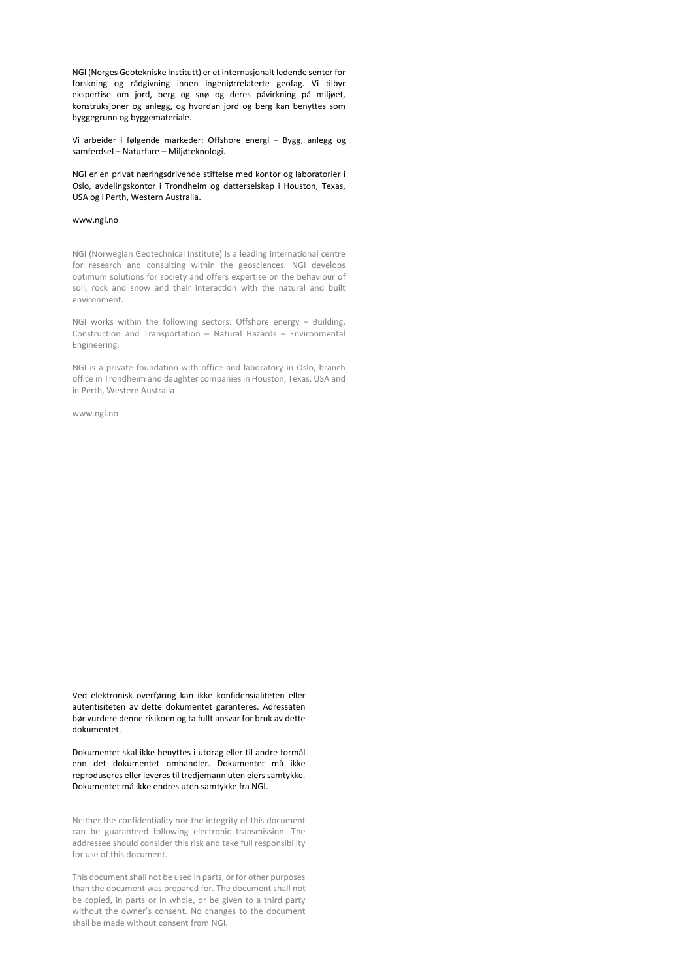NGI (Norges Geotekniske Institutt) er et internasjonalt ledende senter for forskning og rådgivning innen ingeniørrelaterte geofag. Vi tilbyr ekspertise om jord, berg og snø og deres påvirkning på miljøet, konstruksjoner og anlegg, og hvordan jord og berg kan benyttes som byggegrunn og byggemateriale.

Vi arbeider i følgende markeder: Offshore energi – Bygg, anlegg og samferdsel – Naturfare – Miljøteknologi.

NGI er en privat næringsdrivende stiftelse med kontor og laboratorier i Oslo, avdelingskontor i Trondheim og datterselskap i Houston, Texas, USA og i Perth, Western Australia.

### www.ngi.no

NGI (Norwegian Geotechnical Institute) is a leading international centre for research and consulting within the geosciences. NGI develops optimum solutions for society and offers expertise on the behaviour of soil, rock and snow and their interaction with the natural and built environment.

NGI works within the following sectors: Offshore energy – Building, Construction and Transportation – Natural Hazards – Environmental Engineering.

NGI is a private foundation with office and laboratory in Oslo, branch office in Trondheim and daughter companies in Houston, Texas, USA and in Perth, Western Australia

www.ngi.no

Ved elektronisk overføring kan ikke konfidensialiteten eller autentisiteten av dette dokumentet garanteres. Adressaten bør vurdere denne risikoen og ta fullt ansvar for bruk av dette dokumentet.

Dokumentet skal ikke benyttes i utdrag eller til andre formål enn det dokumentet omhandler. Dokumentet må ikke reproduseres eller leveres til tredjemann uten eiers samtykke. Dokumentet må ikke endres uten samtykke fra NGI.

Neither the confidentiality nor the integrity of this document can be guaranteed following electronic transmission. The addressee should consider this risk and take full responsibility for use of this document.

This document shall not be used in parts, or for other purposes than the document was prepared for. The document shall not be copied, in parts or in whole, or be given to a third party without the owner's consent. No changes to the document shall be made without consent from NGI.